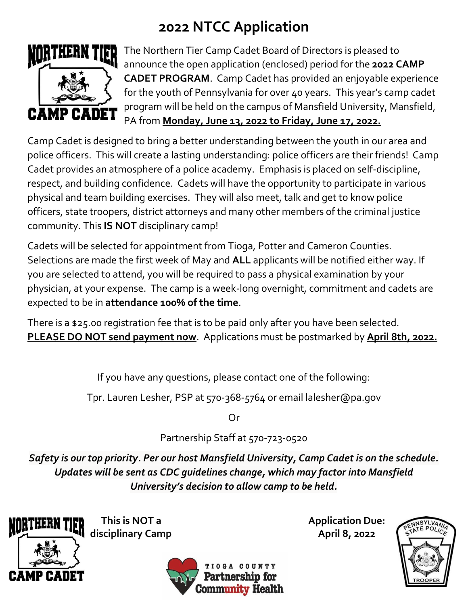## **2022 NTCC Application**



The Northern Tier Camp Cadet Board of Directors is pleased to announce the open application (enclosed) period for the **2022 CAMP CADET PROGRAM**. Camp Cadet has provided an enjoyable experience for the youth of Pennsylvania for over 40 years. This year's camp cadet program will be held on the campus of Mansfield University, Mansfield, PA from **Monday, June 13, 2022 to Friday, June 17, 2022.**

Camp Cadet is designed to bring a better understanding between the youth in our area and police officers. This will create a lasting understanding: police officers are their friends! Camp Cadet provides an atmosphere of a police academy. Emphasis is placed on self-discipline, respect, and building confidence. Cadets will have the opportunity to participate in various physical and team building exercises. They will also meet, talk and get to know police officers, state troopers, district attorneys and many other members of the criminal justice community. This **IS NOT** disciplinary camp!

Cadets will be selected for appointment from Tioga, Potter and Cameron Counties. Selections are made the first week of May and **ALL** applicants will be notified either way. If you are selected to attend, you will be required to pass a physical examination by your physician, at your expense. The camp is a week-long overnight, commitment and cadets are expected to be in **attendance 100% of the time**.

There is a \$25.00 registration fee that is to be paid only after you have been selected. **PLEASE DO NOT send payment now**. Applications must be postmarked by **April 8th, 2022.**

If you have any questions, please contact one of the following:

Tpr. Lauren Lesher, PSP at 570-368-5764 or email lalesher@pa.gov

Or

Partnership Staff at 570-723-0520

*Safety is our top priority. Per our host Mansfield University, Camp Cadet is on the schedule. Updates will be sent as CDC guidelines change, which may factor into Mansfield University's decision to allow camp to be held.*



disciplinary Camp **April 8, 2022** 



**This is NOT a Application Due:**